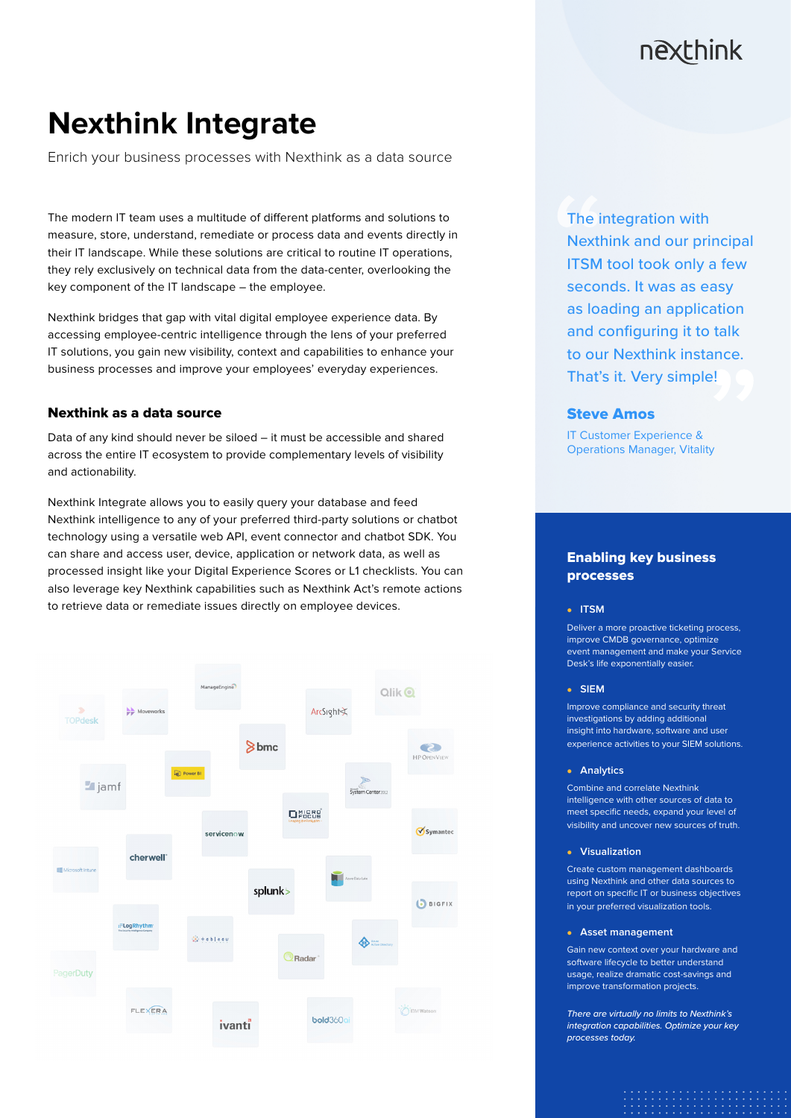## nexthink

# **Nexthink Integrate**

Enrich your business processes with Nexthink as a data source

The modern IT team uses a multitude of different platforms and solutions to measure, store, understand, remediate or process data and events directly in their IT landscape. While these solutions are critical to routine IT operations, they rely exclusively on technical data from the data-center, overlooking the key component of the IT landscape – the employee.

Nexthink bridges that gap with vital digital employee experience data. By accessing employee-centric intelligence through the lens of your preferred IT solutions, you gain new visibility, context and capabilities to enhance your business processes and improve your employees' everyday experiences.

## Nexthink as a data source

Data of any kind should never be siloed – it must be accessible and shared across the entire IT ecosystem to provide complementary levels of visibility and actionability.

Nexthink Integrate allows you to easily query your database and feed Nexthink intelligence to any of your preferred third-party solutions or chatbot technology using a versatile web API, event connector and chatbot SDK. You can share and access user, device, application or network data, as well as processed insight like your Digital Experience Scores or L1 checklists. You can also leverage key Nexthink capabilities such as Nexthink Act's remote actions to retrieve data or remediate issues directly on employee devices.



The integration with Nexthink and our principal ITSM tool took only a few seconds. It was as easy as loading an application and configuring it to talk to our Nexthink instance. That's it. Very simple!

## Steve Amos

IT Customer Experience & Operations Manager, Vitality

## Enabling key business processes

#### <sup>z</sup> **ITSM**

Deliver a more proactive ticketing process, improve CMDB governance, optimize event management and make your Service Desk's life exponentially easier.

#### <sup>z</sup> **SIEM**

Improve compliance and security threat investigations by adding additional insight into hardware, software and user experience activities to your SIEM solutions.

#### **•** Analytics

Combine and correlate Nexthink intelligence with other sources of data to meet specific needs, expand your level of visibility and uncover new sources of truth.

#### **v** Visualization

Create custom management dashboards using Nexthink and other data sources to report on specific IT or business objectives in your preferred visualization tools.

#### **Asset management**

Gain new context over your hardware and software lifecycle to better understand usage, realize dramatic cost-savings and improve transformation projects.

*There are virtually no limits to Nexthink's integration capabilities. Optimize your key processes today.*